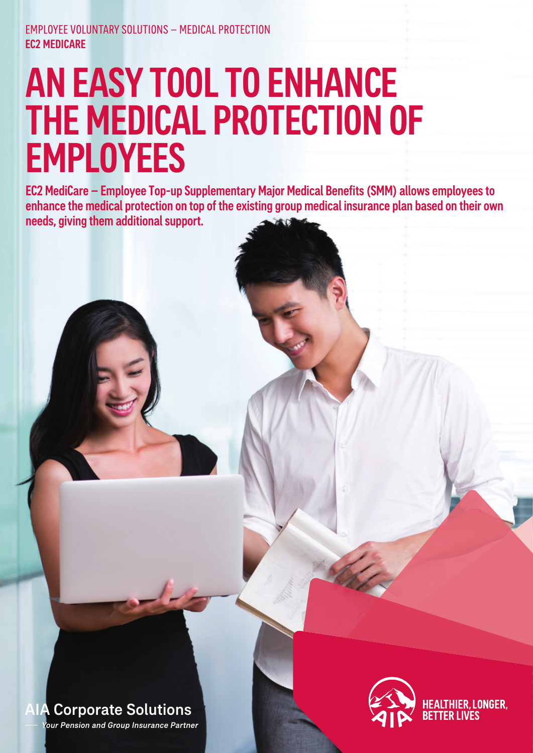## AN EASY TOOL TO ENHANCE THE MEDICAL PROTECTION OF **EMPLOYEES**

EC2 MediCare – Employee Top-up Supplementary Major Medical Benefits (SMM) allows employees to enhance the medical protection on top of the existing group medical insurance plan based on their own needs, giving them additional support.



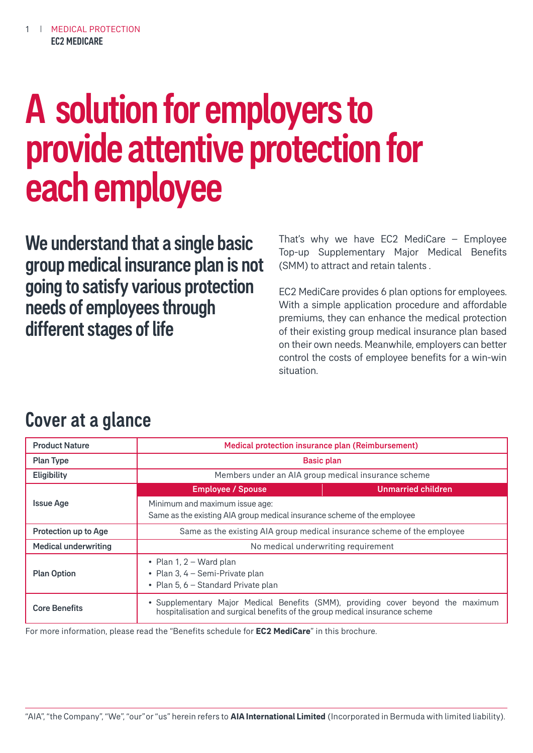# A solution for employers to provide attentive protection for each employee

We understand that a single basic group medical insurance plan is not going to satisfy various protection needs of employees through different stages of life

That's why we have EC2 MediCare – Employee Top-up Supplementary Major Medical Benefits (SMM) to attract and retain talents .

EC2 MediCare provides 6 plan options for employees. With a simple application procedure and affordable premiums, they can enhance the medical protection of their existing group medical insurance plan based on their own needs. Meanwhile, employers can better control the costs of employee benefits for a win-win situation.

## Cover at a glance

| <b>Product Nature</b>       | Medical protection insurance plan (Reimbursement)                                                         |                                                                                  |  |
|-----------------------------|-----------------------------------------------------------------------------------------------------------|----------------------------------------------------------------------------------|--|
| <b>Plan Type</b>            | <b>Basic plan</b>                                                                                         |                                                                                  |  |
| Eligibility                 | Members under an AIA group medical insurance scheme                                                       |                                                                                  |  |
|                             | <b>Employee / Spouse</b>                                                                                  | <b>Unmarried children</b>                                                        |  |
| <b>Issue Age</b>            | Minimum and maximum issue age:<br>Same as the existing AIA group medical insurance scheme of the employee |                                                                                  |  |
| Protection up to Age        | Same as the existing AIA group medical insurance scheme of the employee                                   |                                                                                  |  |
| <b>Medical underwriting</b> | No medical underwriting requirement                                                                       |                                                                                  |  |
| <b>Plan Option</b>          | • Plan 1, $2 - Ward$ plan<br>• Plan 3, 4 - Semi-Private plan<br>• Plan 5, 6 – Standard Private plan       |                                                                                  |  |
| <b>Core Benefits</b>        | hospitalisation and surgical benefits of the group medical insurance scheme                               | • Supplementary Major Medical Benefits (SMM), providing cover beyond the maximum |  |

For more information, please read the "Benefits schedule for **EC2 MediCare**" in this brochure.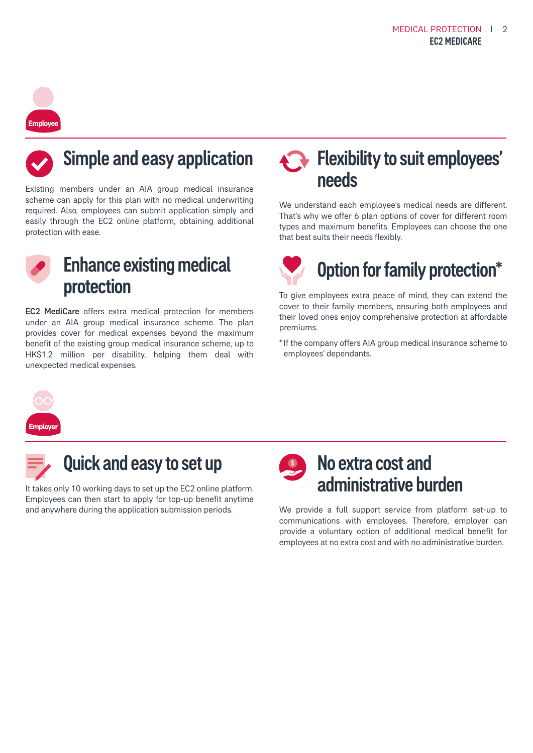# **Employee**



## Simple and easy application

Existing members under an AIA group medical insurance scheme can apply for this plan with no medical underwriting required. Also, employees can submit application simply and easily through the EC2 online platform, obtaining additional protection with ease.



## Enhance existing medical protection

EC2 MediCare offers extra medical protection for members under an AIA group medical insurance scheme. The plan provides cover for medical expenses beyond the maximum benefit of the existing group medical insurance scheme, up to HK\$1.2 million per disability, helping them deal with unexpected medical expenses.

## Flexibility to suit employees' needs

We understand each employee's medical needs are different. That's why we offer 6 plan options of cover for different room types and maximum benefits. Employees can choose the one that best suits their needs flexibly.



To give employees extra peace of mind, they can extend the cover to their family members, ensuring both employees and their loved ones enjoy comprehensive protection at affordable premiums.

\* If the company offers AIA group medical insurance scheme to employees' dependants.



## Quick and easy to set up

It takes only 10 working days to set up the EC2 online platform. Employees can then start to apply for top-up benefit anytime and anywhere during the application submission periods.

## No extra cost and administrative burden

We provide a full support service from platform set-up to communications with employees. Therefore, employer can provide a voluntary option of additional medical benefit for employees at no extra cost and with no administrative burden.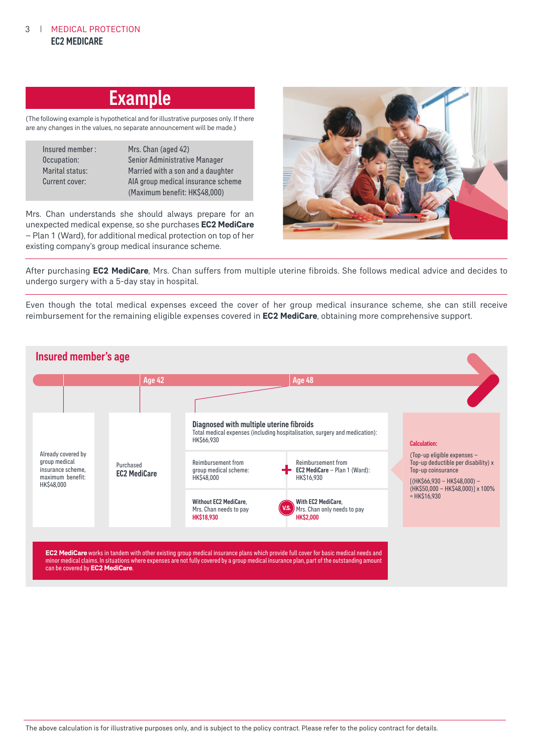### **Example**

(The following example is hypothetical and for illustrative purposes only. If there are any changes in the values, no separate announcement will be made.)

| Insured member : | Mrs. Chan (aged 42)                |
|------------------|------------------------------------|
| Occupation:      | Senior Administrative Manager      |
| Marital status:  | Married with a son and a daughter  |
| Current cover:   | AIA group medical insurance scheme |
|                  | (Maximum benefit: HK\$48,000)      |

Mrs. Chan understands she should always prepare for an unexpected medical expense, so she purchases **EC2 MediCare**  – Plan 1 (Ward), for additional medical protection on top of her existing company's group medical insurance scheme.



After purchasing **EC2 MediCare**, Mrs. Chan suffers from multiple uterine fibroids. She follows medical advice and decides to undergo surgery with a 5-day stay in hospital.

Even though the total medical expenses exceed the cover of her group medical insurance scheme, she can still receive reimbursement for the remaining eligible expenses covered in **EC2 MediCare**, obtaining more comprehensive support.

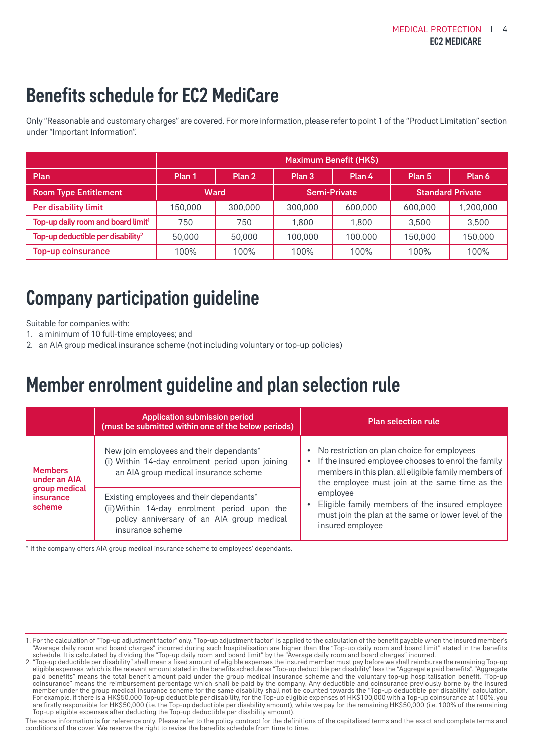## Benefits schedule for EC2 MediCare

Only "Reasonable and customary charges" are covered. For more information, please refer to point 1 of the "Product Limitation" section under "Important Information".

|                                                | Maximum Benefit (HK\$) |         |              |         |                         |           |
|------------------------------------------------|------------------------|---------|--------------|---------|-------------------------|-----------|
| Plan                                           | Plan 1                 | Plan 2  | Plan 3       | Plan 4  | Plan 5                  | Plan 6    |
| <b>Room Type Entitlement</b>                   | Ward                   |         | Semi-Private |         | <b>Standard Private</b> |           |
| Per disability limit                           | 150.000                | 300,000 | 300,000      | 600.000 | 600,000                 | 1,200,000 |
| Top-up daily room and board limit <sup>1</sup> | 750                    | 750     | 1.800        | 1.800   | 3.500                   | 3,500     |
| Top-up deductible per disability <sup>2</sup>  | 50,000                 | 50,000  | 100.000      | 100.000 | 150,000                 | 150,000   |
| Top-up coinsurance                             | 100%                   | 100%    | 100%         | 100%    | 100%                    | 100%      |

## Company participation guideline

Suitable for companies with:

- 1. a minimum of 10 full-time employees; and
- 2. an AIA group medical insurance scheme (not including voluntary or top-up policies)

## Member enrolment guideline and plan selection rule

|                                      | <b>Application submission period</b><br>(must be submitted within one of the below periods)                                                                | <b>Plan selection rule</b>                                                                                                                                                                                   |
|--------------------------------------|------------------------------------------------------------------------------------------------------------------------------------------------------------|--------------------------------------------------------------------------------------------------------------------------------------------------------------------------------------------------------------|
| <b>Members</b><br>under an AIA       | New join employees and their dependants*<br>(i) Within 14-day enrolment period upon joining<br>an AIA group medical insurance scheme                       | No restriction on plan choice for employees<br>If the insured employee chooses to enrol the family<br>members in this plan, all eligible family members of<br>the employee must join at the same time as the |
| group medical<br>insurance<br>scheme | Existing employees and their dependants*<br>(ii) Within 14-day enrolment period upon the<br>policy anniversary of an AIA group medical<br>insurance scheme | employee<br>Eligible family members of the insured employee<br>must join the plan at the same or lower level of the<br>insured employee                                                                      |

\* If the company offers AIA group medical insurance scheme to employees' dependants.

The above information is for reference only. Please refer to the policy contract for the definitions of the capitalised terms and the exact and complete terms and conditions of the cover. We reserve the right to revise the benefits schedule from time to time.

<sup>1.</sup> For the calculation of "Top-up adjustment factor" only. "Top-up adjustment factor" is applied to the calculation of the benefit payable when the insured member's "Average daily room and board charges" incurred during such hospitalisation are higher than the "Top-up daily room and board limit" stated in the benefits schedule. It is calculated by dividing the "Top-up daily room and board limit" by the "Average daily room and board charges" incurred.

<sup>2. &</sup>quot;Top-up deductible per disability" shall mean a fixed amount of eligible expenses the insured member must pay before we shall reimburse the remaining Top-up eligible expenses, which is the relevant amount stated in the benefits schedule as "Top-up deductible per disability" less the "Aggregate paid benefits". "Aggregate paid benefits" means the total benefit amount paid under the group medical insurance scheme and the voluntary top-up hospitalisation benefit. "Top-up coinsurance" means the reimbursement percentage which shall be paid by the company. Any deductible and coinsurance previously borne by the insured member under the group medical insurance scheme for the same disability shall not be counted towards the "Top-up deductible per disability" calculation. For example, if there is a HK\$50,000 Top-up deductible per disability, for the Top-up eligible expenses of HK\$100,000 with a Top-up coinsurance at 100%, you are firstly responsible for HK\$50,000 (i.e. the Top-up deductible per disability amount), while we pay for the remaining HK\$50,000 (i.e. 100% of the remaining Top-up eligible expenses after deducting the Top-up deductible per disability amount).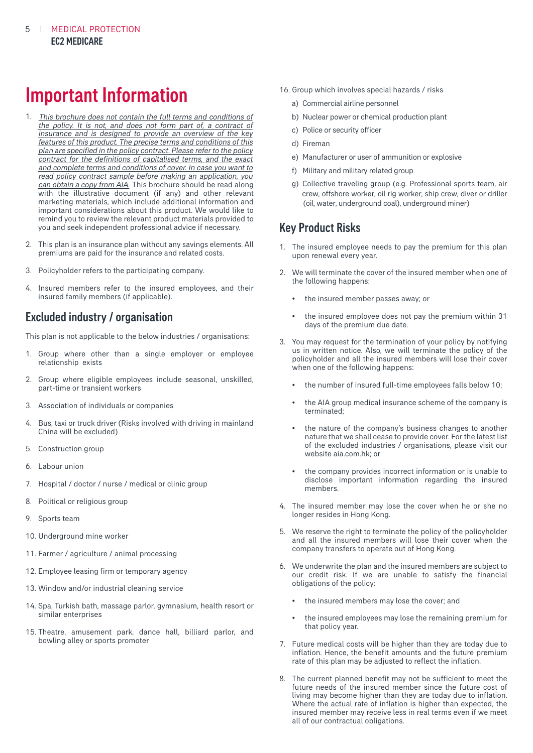## Important Information

- 1. This brochure does not contain the full terms and conditions of can obtain a copy from AIA. This brochure should be read along with the illustrative document (if any) and other relevant marketing materials, which include additional information and important considerations about this product. We would like to remind you to review the relevant product materials provided to you and seek independent professional advice if necessary. the policy. It is not, and does not form part of, a contract of insurance and is designed to provide an overview of the key features of this product. The precise terms and conditions of this plan are specified in the policy contract. Please refer to the policy contract for the definitions of capitalised terms, and the exact and complete terms and conditions of cover. In case you want to read policy contract sample before making an application, you
- 2. This plan is an insurance plan without any savings elements. All premiums are paid for the insurance and related costs.
- 3. Policyholder refers to the participating company.
- 4. Insured members refer to the insured employees, and their insured family members (if applicable).

#### Excluded industry / organisation

This plan is not applicable to the below industries / organisations:

- 1. Group where other than a single employer or employee relationship exists
- 2. Group where eligible employees include seasonal, unskilled, part-time or transient workers
- 3. Association of individuals or companies
- 4. Bus, taxi or truck driver (Risks involved with driving in mainland China will be excluded)
- 5. Construction group
- 6. Labour union
- 7. Hospital / doctor / nurse / medical or clinic group
- 8. Political or religious group
- 9. Sports team
- 10. Underground mine worker
- 11. Farmer / agriculture / animal processing
- 12. Employee leasing firm or temporary agency
- 13. Window and/or industrial cleaning service
- 14. Spa, Turkish bath, massage parlor, gymnasium, health resort or similar enterprises
- 15. Theatre, amusement park, dance hall, billiard parlor, and bowling alley or sports promoter
- 16. Group which involves special hazards / risks
	- a) Commercial airline personnel
	- b) Nuclear power or chemical production plant
	- c) Police or security officer
	- d) Fireman
	- e) Manufacturer or user of ammunition or explosive
	- f) Military and military related group
	- g) Collective traveling group (e.g. Professional sports team, air crew, offshore worker, oil rig worker, ship crew, diver or driller (oil, water, underground coal), underground miner)

#### Key Product Risks

- 1. The insured employee needs to pay the premium for this plan upon renewal every year.
- 2. We will terminate the cover of the insured member when one of the following happens:
	- the insured member passes away; or
	- the insured employee does not pay the premium within 31 days of the premium due date.
- 3. You may request for the termination of your policy by notifying us in written notice. Also, we will terminate the policy of the policyholder and all the insured members will lose their cover when one of the following happens:
	- the number of insured full-time employees falls below 10;
	- the AIA group medical insurance scheme of the company is terminated;
	- the nature of the company's business changes to another nature that we shall cease to provide cover. For the latest list of the excluded industries / organisations, please visit our website aia.com.hk; or
	- the company provides incorrect information or is unable to disclose important information regarding the insured members.
- 4. The insured member may lose the cover when he or she no longer resides in Hong Kong.
- 5. We reserve the right to terminate the policy of the policyholder and all the insured members will lose their cover when the company transfers to operate out of Hong Kong.
- 6. We underwrite the plan and the insured members are subject to our credit risk. If we are unable to satisfy the financial obligations of the policy:
	- the insured members may lose the cover; and
	- the insured employees may lose the remaining premium for that policy year.
- 7. Future medical costs will be higher than they are today due to inflation. Hence, the benefit amounts and the future premium rate of this plan may be adjusted to reflect the inflation.
- 8. The current planned benefit may not be sufficient to meet the future needs of the insured member since the future cost of living may become higher than they are today due to inflation. Where the actual rate of inflation is higher than expected, the insured member may receive less in real terms even if we meet all of our contractual obligations.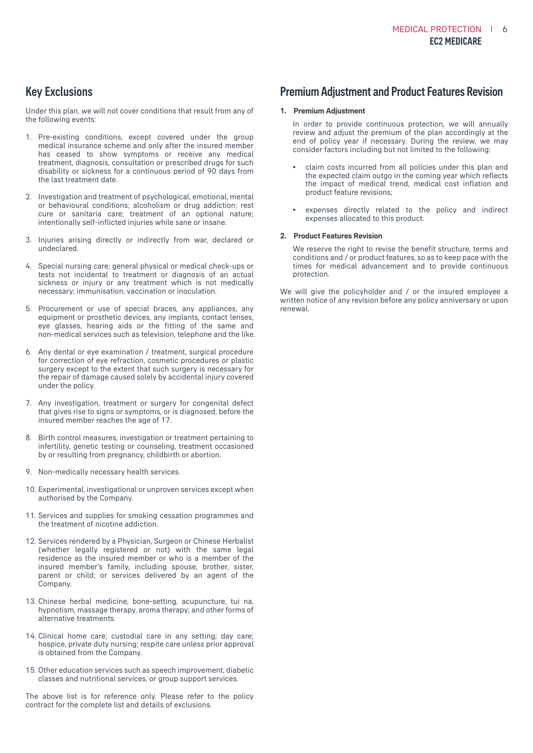#### Key Exclusions

Under this plan, we will not cover conditions that result from any of the following events:

- 1. Pre-existing conditions, except covered under the group medical insurance scheme and only after the insured member has ceased to show symptoms or receive any medical treatment, diagnosis, consultation or prescribed drugs for such disability or sickness for a continuous period of 90 days from the last treatment date.
- 2. Investigation and treatment of psychological, emotional, mental or behavioural conditions; alcoholism or drug addiction; rest cure or sanitaria care; treatment of an optional nature; intentionally self-inflicted injuries while sane or insane.
- 3. Injuries arising directly or indirectly from war, declared or undeclared.
- 4. Special nursing care; general physical or medical check-ups or tests not incidental to treatment or diagnosis of an actual sickness or injury or any treatment which is not medically necessary; immunisation, vaccination or inoculation.
- 5. Procurement or use of special braces, any appliances, any equipment or prosthetic devices, any implants, contact lenses, eye glasses, hearing aids or the fitting of the same and non-medical services such as television, telephone and the like.
- 6. Any dental or eye examination / treatment, surgical procedure for correction of eye refraction, cosmetic procedures or plastic surgery except to the extent that such surgery is necessary for the repair of damage caused solely by accidental injury covered under the policy.
- 7. Any investigation, treatment or surgery for congenital defect that gives rise to signs or symptoms, or is diagnosed, before the insured member reaches the age of 17.
- 8. Birth control measures, investigation or treatment pertaining to infertility, genetic testing or counseling, treatment occasioned by or resulting from pregnancy, childbirth or abortion.
- 9. Non-medically necessary health services.
- 10. Experimental, investigational or unproven services except when authorised by the Company.
- 11. Services and supplies for smoking cessation programmes and the treatment of nicotine addiction.
- 12. Services rendered by a Physician, Surgeon or Chinese Herbalist (whether legally registered or not) with the same legal residence as the insured member or who is a member of the insured member's family, including spouse, brother, sister, parent or child; or services delivered by an agent of the Company.
- 13. Chinese herbal medicine, bone-setting, acupuncture, tui na, hypnotism, massage therapy, aroma therapy; and other forms of alternative treatments.
- 14. Clinical home care; custodial care in any setting; day care; hospice, private duty nursing; respite care unless prior approval is obtained from the Company.
- 15. Other education services such as speech improvement, diabetic classes and nutritional services, or group support services.

The above list is for reference only. Please refer to the policy contract for the complete list and details of exclusions.

#### Premium Adjustment and Product Features Revision

#### **1. Premium Adjustment**

 In order to provide continuous protection, we will annually review and adjust the premium of the plan accordingly at the end of policy year if necessary. During the review, we may consider factors including but not limited to the following:

- claim costs incurred from all policies under this plan and the expected claim outgo in the coming year which reflects the impact of medical trend, medical cost inflation and product feature revisions;
- expenses directly related to the policy and indirect expenses allocated to this product.

#### **2. Product Features Revision**

 We reserve the right to revise the benefit structure, terms and conditions and / or product features, so as to keep pace with the times for medical advancement and to provide continuous protection.

We will give the policyholder and / or the insured employee a written notice of any revision before any policy anniversary or upon renewal.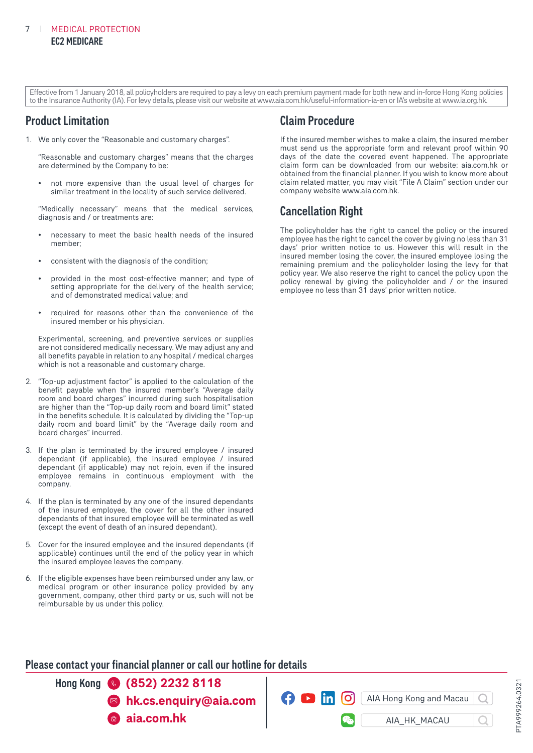Effective from 1 January 2018, all policyholders are required to pay a levy on each premium payment made for both new and in-force Hong Kong policies to the Insurance Authority (IA). For levy details, please visit our website at www.aia.com.hk/useful-information-ia-en or IA's website at www.ia.org.hk.

#### Product Limitation

1. We only cover the "Reasonable and customary charges".

 "Reasonable and customary charges" means that the charges are determined by the Company to be:

 • not more expensive than the usual level of charges for similar treatment in the locality of such service delivered.

 "Medically necessary" means that the medical services, diagnosis and / or treatments are:

- necessary to meet the basic health needs of the insured member;
- consistent with the diagnosis of the condition;
- provided in the most cost-effective manner; and type of setting appropriate for the delivery of the health service; and of demonstrated medical value; and
- required for reasons other than the convenience of the insured member or his physician.

 Experimental, screening, and preventive services or supplies are not considered medically necessary. We may adjust any and all benefits payable in relation to any hospital / medical charges which is not a reasonable and customary charge.

- 2. "Top-up adjustment factor" is applied to the calculation of the benefit payable when the insured member's "Average daily room and board charges" incurred during such hospitalisation are higher than the "Top-up daily room and board limit" stated in the benefits schedule. It is calculated by dividing the "Top-up daily room and board limit" by the "Average daily room and board charges" incurred.
- 3. If the plan is terminated by the insured employee / insured dependant (if applicable), the insured employee / insured dependant (if applicable) may not rejoin, even if the insured employee remains in continuous employment with the company.
- 4. If the plan is terminated by any one of the insured dependants of the insured employee, the cover for all the other insured dependants of that insured employee will be terminated as well (except the event of death of an insured dependant).
- 5. Cover for the insured employee and the insured dependants (if applicable) continues until the end of the policy year in which the insured employee leaves the company.
- 6. If the eligible expenses have been reimbursed under any law, or medical program or other insurance policy provided by any government, company, other third party or us, such will not be reimbursable by us under this policy.

#### Claim Procedure

If the insured member wishes to make a claim, the insured member must send us the appropriate form and relevant proof within 90 days of the date the covered event happened. The appropriate claim form can be downloaded from our website: aia.com.hk or obtained from the financial planner. If you wish to know more about claim related matter, you may visit "File A Claim" section under our company website www.aia.com.hk.

#### Cancellation Right

The policyholder has the right to cancel the policy or the insured employee has the right to cancel the cover by giving no less than 31 days' prior written notice to us. However this will result in the insured member losing the cover, the insured employee losing the remaining premium and the policyholder losing the levy for that policy year. We also reserve the right to cancel the policy upon the policy renewal by giving the policyholder and / or the insured employee no less than 31 days' prior written notice.

#### Please contact your financial planner or call our hotline for details

Hong Kong **(852) 2232 8118 aia.com.hk hk.cs.enquiry@aia.com**

AIA Hong Kong and Macau

 $\Omega$   $\blacksquare$  in

[O]

AIA\_HK\_MACAU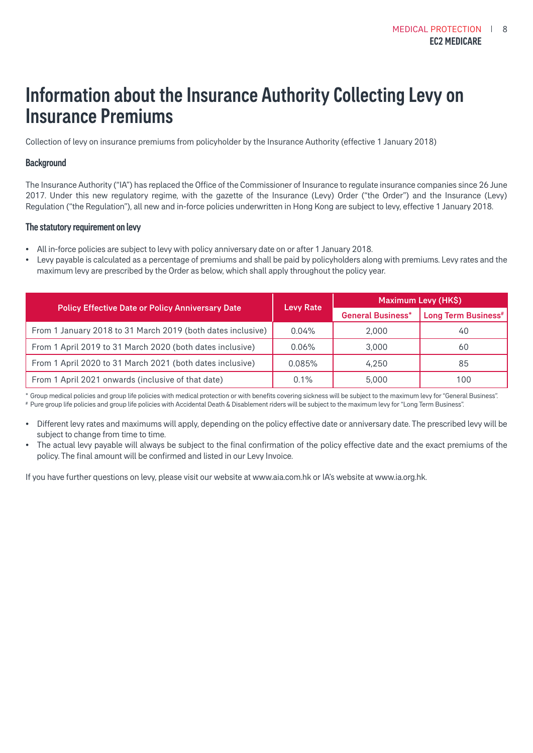## Information about the Insurance Authority Collecting Levy on Insurance Premiums

Collection of levy on insurance premiums from policyholder by the Insurance Authority (effective 1 January 2018)

#### **Background**

The Insurance Authority ("IA") has replaced the Office of the Commissioner of Insurance to regulate insurance companies since 26 June 2017. Under this new regulatory regime, with the gazette of the Insurance (Levy) Order ("the Order") and the Insurance (Levy) Regulation ("the Regulation"), all new and in-force policies underwritten in Hong Kong are subject to levy, effective 1 January 2018.

#### The statutory requirement on levy

- All in-force policies are subject to levy with policy anniversary date on or after 1 January 2018.
- Levy payable is calculated as a percentage of premiums and shall be paid by policyholders along with premiums. Levy rates and the maximum levy are prescribed by the Order as below, which shall apply throughout the policy year.

|                                                             | <b>Levy Rate</b> | Maximum Levy (HK\$)      |                                 |  |
|-------------------------------------------------------------|------------------|--------------------------|---------------------------------|--|
| <b>Policy Effective Date or Policy Anniversary Date</b>     |                  | <b>General Business*</b> | Long Term Business <sup>#</sup> |  |
| From 1 January 2018 to 31 March 2019 (both dates inclusive) | 0.04%            | 2.000                    | 40                              |  |
| From 1 April 2019 to 31 March 2020 (both dates inclusive)   | $0.06\%$         | 3.000                    | 60                              |  |
| From 1 April 2020 to 31 March 2021 (both dates inclusive)   | 0.085%           | 4.250                    | 85                              |  |
| From 1 April 2021 onwards (inclusive of that date)          | 0.1%             | 5.000                    | 100                             |  |

\* Group medical policies and group life policies with medical protection or with benefits covering sickness will be subject to the maximum levy for "General Business". # Pure group life policies and group life policies with Accidental Death & Disablement riders will be subject to the maximum levy for "Long Term Business".

- Different levy rates and maximums will apply, depending on the policy effective date or anniversary date. The prescribed levy will be subject to change from time to time.
- The actual levy payable will always be subject to the final confirmation of the policy effective date and the exact premiums of the policy. The final amount will be confirmed and listed in our Levy Invoice.

If you have further questions on levy, please visit our website at www.aia.com.hk or IA's website at www.ia.org.hk.